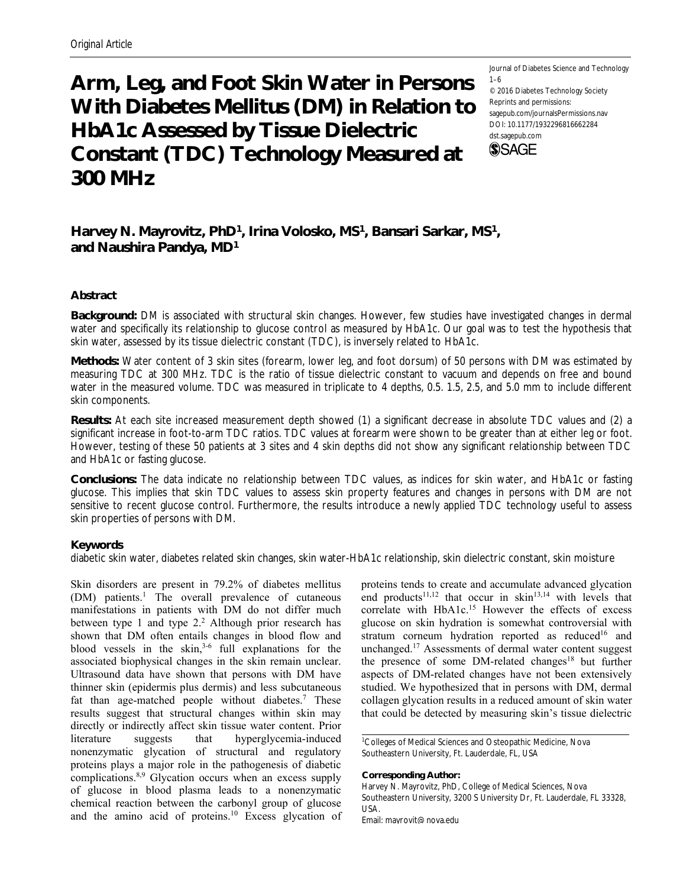# **Arm, Leg, and Foot Skin Water in Persons With Diabetes Mellitus (DM) in Relation to HbA1c Assessed by Tissue Dielectric Constant (TDC) Technology Measured at 300 MHz**

Journal of Diabetes Science and Technology 1–6 © 2016 Diabetes Technology Society Reprints and permissions: sagepub.com/journalsPermissions.nav DOI: 10.1177/1932296816662284 dst.sagepub.com **SSAGE** 

**Harvey N. Mayrovitz, PhD1, Irina Volosko, MS1, Bansari Sarkar, MS1, and Naushira Pandya, MD1**

# **Abstract**

**Background:** DM is associated with structural skin changes. However, few studies have investigated changes in dermal water and specifically its relationship to glucose control as measured by HbA1c. Our goal was to test the hypothesis that skin water, assessed by its tissue dielectric constant (TDC), is inversely related to HbA1c.

**Methods:** Water content of 3 skin sites (forearm, lower leg, and foot dorsum) of 50 persons with DM was estimated by measuring TDC at 300 MHz. TDC is the ratio of tissue dielectric constant to vacuum and depends on free and bound water in the measured volume. TDC was measured in triplicate to 4 depths, 0.5. 1.5, 2.5, and 5.0 mm to include different skin components.

**Results:** At each site increased measurement depth showed (1) a significant decrease in absolute TDC values and (2) a significant increase in foot-to-arm TDC ratios. TDC values at forearm were shown to be greater than at either leg or foot. However, testing of these 50 patients at 3 sites and 4 skin depths did not show any significant relationship between TDC and HbA1c or fasting glucose.

**Conclusions:** The data indicate no relationship between TDC values, as indices for skin water, and HbA1c or fasting glucose. This implies that skin TDC values to assess skin property features and changes in persons with DM are not sensitive to recent glucose control. Furthermore, the results introduce a newly applied TDC technology useful to assess skin properties of persons with DM.

# **Keywords**

diabetic skin water, diabetes related skin changes, skin water-HbA1c relationship, skin dielectric constant, skin moisture

Skin disorders are present in 79.2% of diabetes mellitus (DM) patients.<sup>1</sup> The overall prevalence of cutaneous manifestations in patients with DM do not differ much between type 1 and type 2.<sup>2</sup> Although prior research has shown that DM often entails changes in blood flow and blood vessels in the skin, $3-6$  full explanations for the associated biophysical changes in the skin remain unclear. Ultrasound data have shown that persons with DM have thinner skin (epidermis plus dermis) and less subcutaneous fat than age-matched people without diabetes.<sup>7</sup> These results suggest that structural changes within skin may directly or indirectly affect skin tissue water content. Prior literature suggests that hyperglycemia-induced nonenzymatic glycation of structural and regulatory proteins plays a major role in the pathogenesis of diabetic complications.8,9 Glycation occurs when an excess supply of glucose in blood plasma leads to a nonenzymatic chemical reaction between the carbonyl group of glucose and the amino acid of proteins.10 Excess glycation of

proteins tends to create and accumulate advanced glycation end products<sup>11,12</sup> that occur in skin<sup>13,14</sup> with levels that correlate with HbA1c.<sup>15</sup> However the effects of excess glucose on skin hydration is somewhat controversial with stratum corneum hydration reported as reduced<sup>16</sup> and unchanged.17 Assessments of dermal water content suggest the presence of some DM-related changes<sup>18</sup> but further aspects of DM-related changes have not been extensively studied. We hypothesized that in persons with DM, dermal collagen glycation results in a reduced amount of skin water that could be detected by measuring skin's tissue dielectric

1 Colleges of Medical Sciences and Osteopathic Medicine, Nova Southeastern University, Ft. Lauderdale, FL, USA

#### **Corresponding Author:**

Harvey N. Mayrovitz, PhD, College of Medical Sciences, Nova Southeastern University, 3200 S University Dr, Ft. Lauderdale, FL 33328, USA.

Email: mayrovit@nova.edu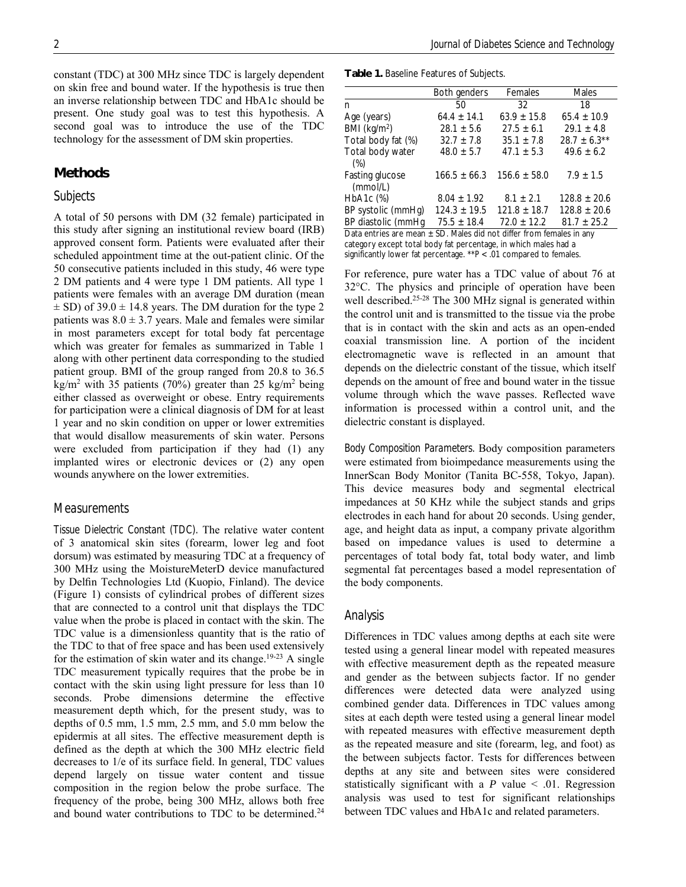constant (TDC) at 300 MHz since TDC is largely dependent on skin free and bound water. If the hypothesis is true then an inverse relationship between TDC and HbA1c should be present. One study goal was to test this hypothesis. A second goal was to introduce the use of the TDC technology for the assessment of DM skin properties.

# **Methods**

# *Subjects*

A total of 50 persons with DM (32 female) participated in this study after signing an institutional review board (IRB) approved consent form. Patients were evaluated after their scheduled appointment time at the out-patient clinic. Of the 50 consecutive patients included in this study, 46 were type 2 DM patients and 4 were type 1 DM patients. All type 1 patients were females with an average DM duration (mean  $\pm$  SD) of 39.0  $\pm$  14.8 years. The DM duration for the type 2 patients was  $8.0 \pm 3.7$  years. Male and females were similar in most parameters except for total body fat percentage which was greater for females as summarized in Table 1 along with other pertinent data corresponding to the studied patient group. BMI of the group ranged from 20.8 to 36.5 kg/m<sup>2</sup> with 35 patients (70%) greater than 25 kg/m<sup>2</sup> being either classed as overweight or obese. Entry requirements for participation were a clinical diagnosis of DM for at least 1 year and no skin condition on upper or lower extremities that would disallow measurements of skin water. Persons were excluded from participation if they had (1) any implanted wires or electronic devices or (2) any open wounds anywhere on the lower extremities.

#### *Measurements*

*Tissue Dielectric Constant (TDC).* The relative water content of 3 anatomical skin sites (forearm, lower leg and foot dorsum) was estimated by measuring TDC at a frequency of 300 MHz using the MoistureMeterD device manufactured by Delfin Technologies Ltd (Kuopio, Finland). The device (Figure 1) consists of cylindrical probes of different sizes that are connected to a control unit that displays the TDC value when the probe is placed in contact with the skin. The TDC value is a dimensionless quantity that is the ratio of the TDC to that of free space and has been used extensively for the estimation of skin water and its change.<sup>19-23</sup> A single TDC measurement typically requires that the probe be in contact with the skin using light pressure for less than 10 seconds. Probe dimensions determine the effective measurement depth which, for the present study, was to depths of 0.5 mm, 1.5 mm, 2.5 mm, and 5.0 mm below the epidermis at all sites. The effective measurement depth is defined as the depth at which the 300 MHz electric field decreases to 1/e of its surface field. In general, TDC values depend largely on tissue water content and tissue composition in the region below the probe surface. The frequency of the probe, being 300 MHz, allows both free and bound water contributions to TDC to be determined.<sup>24</sup>

**Table 1.** Baseline Features of Subjects.

|                                                                          | Both genders     | Females          | <b>Males</b>     |  |  |
|--------------------------------------------------------------------------|------------------|------------------|------------------|--|--|
| n                                                                        | 50               | 32               | 18               |  |  |
| Age (years)                                                              | $64.4 \pm 14.1$  | $63.9 \pm 15.8$  | $65.4 \pm 10.9$  |  |  |
| BMI (kg/m <sup>2</sup> )                                                 | $28.1 \pm 5.6$   | $27.5 \pm 6.1$   | $29.1 \pm 4.8$   |  |  |
| Total body fat (%)                                                       | $32.7 \pm 7.8$   | $35.1 \pm 7.8$   | $28.7 \pm 6.3**$ |  |  |
| Total body water                                                         | $48.0 \pm 5.7$   | $47.1 \pm 5.3$   | $49.6 \pm 6.2$   |  |  |
| $(\%)$                                                                   |                  |                  |                  |  |  |
| Fasting glucose                                                          | $166.5 \pm 66.3$ | $156.6 \pm 58.0$ | $7.9 \pm 1.5$    |  |  |
| (mmol/L)                                                                 |                  |                  |                  |  |  |
| $HbA1c$ $(\%)$                                                           | $8.04 \pm 1.92$  | $8.1 \pm 2.1$    | $128.8 \pm 20.6$ |  |  |
| BP systolic (mmHg)                                                       | $124.3 \pm 19.5$ | $121.8 \pm 18.7$ | $128.8 \pm 20.6$ |  |  |
| BP diastolic (mmHq                                                       | $75.5 \pm 18.4$  | $72.0 \pm 12.2$  | $81.7 \pm 25.2$  |  |  |
| Data entries are mean $\pm$ SD. Males did not differ from females in any |                  |                  |                  |  |  |

category except total body fat percentage, in which males had a significantly lower fat percentage. \*\**P* < .01 compared to females.

For reference, pure water has a TDC value of about 76 at  $32^{\circ}$ C. The physics and principle of operation have been well described.<sup>25-28</sup> The 300 MHz signal is generated within the control unit and is transmitted to the tissue via the probe that is in contact with the skin and acts as an open-ended coaxial transmission line. A portion of the incident electromagnetic wave is reflected in an amount that depends on the dielectric constant of the tissue, which itself depends on the amount of free and bound water in the tissue volume through which the wave passes. Reflected wave information is processed within a control unit, and the dielectric constant is displayed.

*Body Composition Parameters.* Body composition parameters were estimated from bioimpedance measurements using the InnerScan Body Monitor (Tanita BC-558, Tokyo, Japan). This device measures body and segmental electrical impedances at 50 KHz while the subject stands and grips electrodes in each hand for about 20 seconds. Using gender, age, and height data as input, a company private algorithm based on impedance values is used to determine a percentages of total body fat, total body water, and limb segmental fat percentages based a model representation of the body components.

## *Analysis*

Differences in TDC values among depths at each site were tested using a general linear model with repeated measures with effective measurement depth as the repeated measure and gender as the between subjects factor. If no gender differences were detected data were analyzed using combined gender data. Differences in TDC values among sites at each depth were tested using a general linear model with repeated measures with effective measurement depth as the repeated measure and site (forearm, leg, and foot) as the between subjects factor. Tests for differences between depths at any site and between sites were considered statistically significant with a  $P$  value  $\leq$  .01. Regression analysis was used to test for significant relationships between TDC values and HbA1c and related parameters.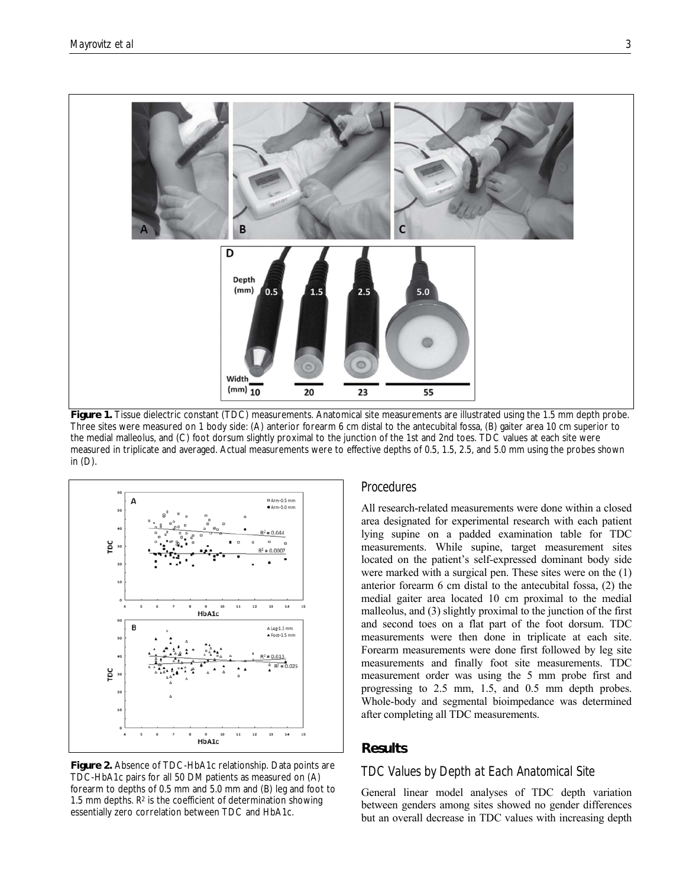

**Figure 1.** Tissue dielectric constant (TDC) measurements. Anatomical site measurements are illustrated using the 1.5 mm depth probe. Three sites were measured on 1 body side: (A) anterior forearm 6 cm distal to the antecubital fossa, (B) gaiter area 10 cm superior to the medial malleolus, and (C) foot dorsum slightly proximal to the junction of the 1st and 2nd toes. TDC values at each site were measured in triplicate and averaged. Actual measurements were to effective depths of 0.5, 1.5, 2.5, and 5.0 mm using the probes shown in (D).



**Figure 2.** Absence of TDC-HbA1c relationship. Data points are TDC-HbA1c pairs for all 50 DM patients as measured on (A) forearm to depths of 0.5 mm and 5.0 mm and (B) leg and foot to 1.5 mm depths.  $R<sup>2</sup>$  is the coefficient of determination showing essentially zero correlation between TDC and HbA1c.

## *Procedures*

All research-related measurements were done within a closed area designated for experimental research with each patient lying supine on a padded examination table for TDC measurements. While supine, target measurement sites located on the patient's self-expressed dominant body side were marked with a surgical pen. These sites were on the (1) anterior forearm 6 cm distal to the antecubital fossa, (2) the medial gaiter area located 10 cm proximal to the medial malleolus, and (3) slightly proximal to the junction of the first and second toes on a flat part of the foot dorsum. TDC measurements were then done in triplicate at each site. Forearm measurements were done first followed by leg site measurements and finally foot site measurements. TDC measurement order was using the 5 mm probe first and progressing to 2.5 mm, 1.5, and 0.5 mm depth probes. Whole-body and segmental bioimpedance was determined after completing all TDC measurements.

# **Results**

# *TDC Values by Depth at Each Anatomical Site*

General linear model analyses of TDC depth variation between genders among sites showed no gender differences but an overall decrease in TDC values with increasing depth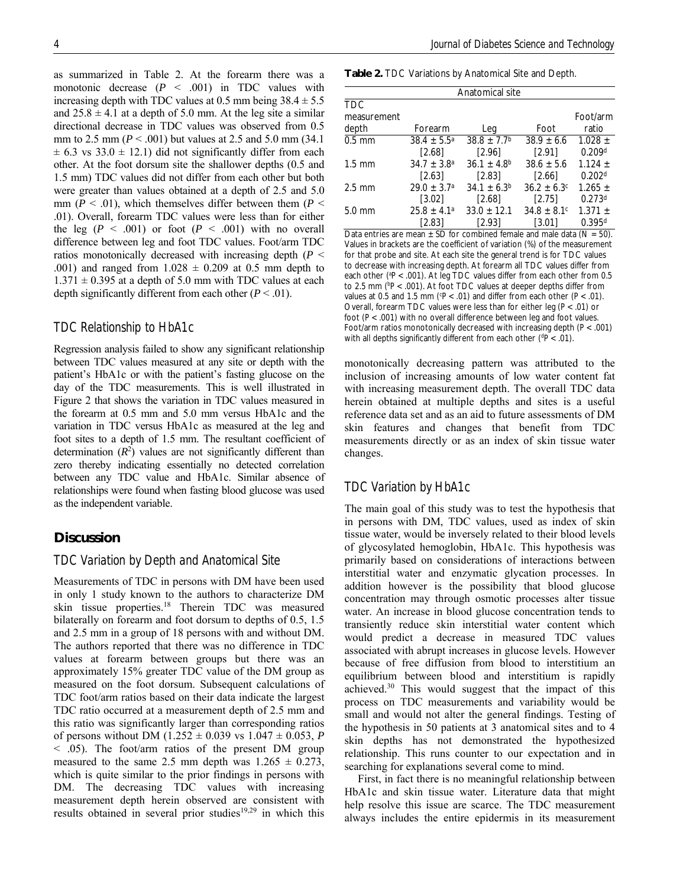as summarized in Table 2. At the forearm there was a monotonic decrease  $(P \le .001)$  in TDC values with increasing depth with TDC values at 0.5 mm being  $38.4 \pm 5.5$ and  $25.8 \pm 4.1$  at a depth of 5.0 mm. At the leg site a similar directional decrease in TDC values was observed from 0.5 mm to 2.5 mm (*P* < .001) but values at 2.5 and 5.0 mm (34.1  $\pm$  6.3 vs 33.0  $\pm$  12.1) did not significantly differ from each other. At the foot dorsum site the shallower depths (0.5 and 1.5 mm) TDC values did not differ from each other but both were greater than values obtained at a depth of 2.5 and 5.0 mm ( $P < .01$ ), which themselves differ between them ( $P <$ .01). Overall, forearm TDC values were less than for either the leg  $(P < .001)$  or foot  $(P < .001)$  with no overall difference between leg and foot TDC values. Foot/arm TDC ratios monotonically decreased with increasing depth (*P* < .001) and ranged from  $1.028 \pm 0.209$  at 0.5 mm depth to  $1.371 \pm 0.395$  at a depth of 5.0 mm with TDC values at each depth significantly different from each other  $(P < .01)$ .

#### *TDC Relationship to HbA1c*

Regression analysis failed to show any significant relationship between TDC values measured at any site or depth with the patient's HbA1c or with the patient's fasting glucose on the day of the TDC measurements. This is well illustrated in Figure 2 that shows the variation in TDC values measured in the forearm at 0.5 mm and 5.0 mm versus HbA1c and the variation in TDC versus HbA1c as measured at the leg and foot sites to a depth of 1.5 mm. The resultant coefficient of determination  $(R^2)$  values are not significantly different than zero thereby indicating essentially no detected correlation between any TDC value and HbA1c. Similar absence of relationships were found when fasting blood glucose was used as the independent variable.

## **Discussion**

## *TDC Variation by Depth and Anatomical Site*

Measurements of TDC in persons with DM have been used in only 1 study known to the authors to characterize DM skin tissue properties.18 Therein TDC was measured bilaterally on forearm and foot dorsum to depths of 0.5, 1.5 and 2.5 mm in a group of 18 persons with and without DM. The authors reported that there was no difference in TDC values at forearm between groups but there was an approximately 15% greater TDC value of the DM group as measured on the foot dorsum. Subsequent calculations of TDC foot/arm ratios based on their data indicate the largest TDC ratio occurred at a measurement depth of 2.5 mm and this ratio was significantly larger than corresponding ratios of persons without DM  $(1.252 \pm 0.039 \text{ vs } 1.047 \pm 0.053, P)$ < .05). The foot/arm ratios of the present DM group measured to the same 2.5 mm depth was  $1.265 \pm 0.273$ , which is quite similar to the prior findings in persons with DM. The decreasing TDC values with increasing measurement depth herein observed are consistent with results obtained in several prior studies<sup>19,29</sup> in which this

**Table 2.** TDC Variations by Anatomical Site and Depth.

| Anatomical site           |                                    |                                         |                             |                                   |  |
|---------------------------|------------------------------------|-----------------------------------------|-----------------------------|-----------------------------------|--|
| <b>TDC</b><br>measurement |                                    |                                         |                             | Foot/arm                          |  |
| depth                     | Forearm                            | Leg                                     | Foot                        | ratio                             |  |
| $0.5$ mm                  | $38.4 \pm 5.5^{\circ}$             | $38.8 \pm 7.7$ <sup>b</sup>             | $38.9 \pm 6.6$              | $1.028 \pm$                       |  |
|                           | [2.68]                             | $[2.96]$                                | [2.91]                      | 0.209 <sup>d</sup>                |  |
| $1.5 \text{ mm}$          | $34.7 \pm 3.8^{\circ}$<br>$[2.63]$ | $36.1 \pm 4.8$ <sup>b</sup><br>$[2.83]$ | $38.6 \pm 5.6$<br>$[2.66]$  | $1.124 \pm$<br>0.202 <sup>d</sup> |  |
| $2.5 \text{ mm}$          | $29.0 \pm 3.7^{\circ}$             | $34.1 \pm 6.3^b$                        | $36.2 \pm 6.3$ <sup>c</sup> | $1.265 \pm$                       |  |
|                           | [3.02]                             | [2.68]                                  | [2.75]                      | 0.273 <sup>d</sup>                |  |
| $5.0 \text{ mm}$          | $25.8 \pm 4.1^a$                   | $33.0 \pm 12.1$                         | $34.8 \pm 8.1$ <sup>c</sup> | $1.371 \pm$                       |  |
|                           | [2.83]                             | [2.93]                                  | [3.01]                      | $0.395$ <sup>d</sup>              |  |

Data entries are mean  $\pm$  SD for combined female and male data (N = 50). Values in brackets are the coefficient of variation (%) of the measurement for that probe and site. At each site the general trend is for TDC values to decrease with increasing depth. At forearm all TDC values differ from each other (<sup>a</sup>P < .001). At leg TDC values differ from each other from 0.5 to 2.5 mm (b *P* < .001). At foot TDC values at deeper depths differ from values at 0.5 and 1.5 mm ( $P < .01$ ) and differ from each other ( $P < .01$ ). Overall, forearm TDC values were less than for either leg (*P* < .01) or foot (*P* < .001) with no overall difference between leg and foot values. Foot/arm ratios monotonically decreased with increasing depth (*P* < .001) with all depths significantly different from each other (<sup>d</sup>P < .01).

monotonically decreasing pattern was attributed to the inclusion of increasing amounts of low water content fat with increasing measurement depth. The overall TDC data herein obtained at multiple depths and sites is a useful reference data set and as an aid to future assessments of DM skin features and changes that benefit from TDC measurements directly or as an index of skin tissue water changes.

## *TDC Variation by HbA1c*

The main goal of this study was to test the hypothesis that in persons with DM, TDC values, used as index of skin tissue water, would be inversely related to their blood levels of glycosylated hemoglobin, HbA1c. This hypothesis was primarily based on considerations of interactions between interstitial water and enzymatic glycation processes. In addition however is the possibility that blood glucose concentration may through osmotic processes alter tissue water. An increase in blood glucose concentration tends to transiently reduce skin interstitial water content which would predict a decrease in measured TDC values associated with abrupt increases in glucose levels. However because of free diffusion from blood to interstitium an equilibrium between blood and interstitium is rapidly achieved.30 This would suggest that the impact of this process on TDC measurements and variability would be small and would not alter the general findings. Testing of the hypothesis in 50 patients at 3 anatomical sites and to 4 skin depths has not demonstrated the hypothesized relationship. This runs counter to our expectation and in searching for explanations several come to mind.

First, in fact there is no meaningful relationship between HbA1c and skin tissue water. Literature data that might help resolve this issue are scarce. The TDC measurement always includes the entire epidermis in its measurement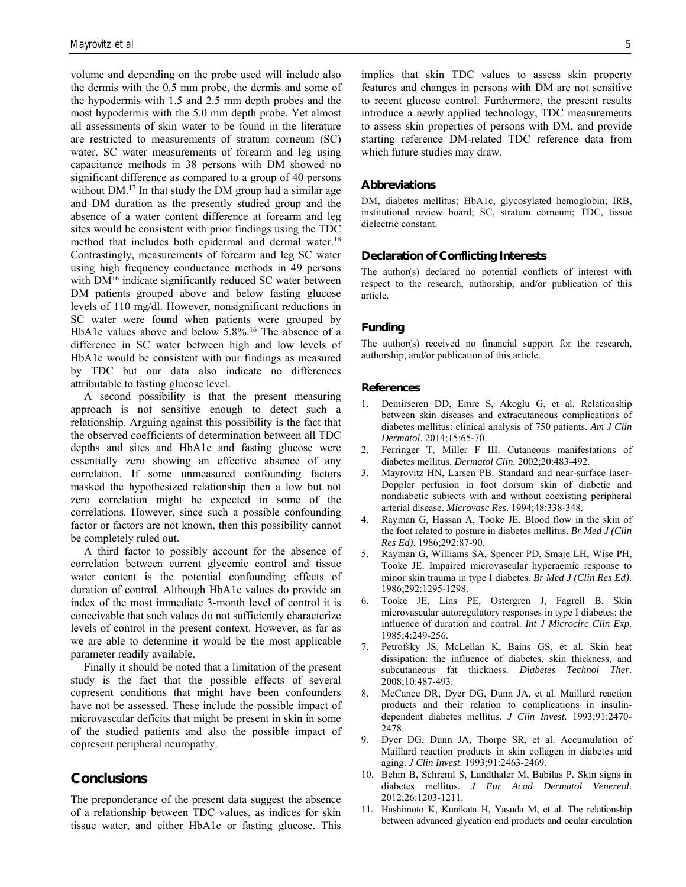volume and depending on the probe used will include also the dermis with the 0.5 mm probe, the dermis and some of the hypodermis with 1.5 and 2.5 mm depth probes and the most hypodermis with the 5.0 mm depth probe. Yet almost all assessments of skin water to be found in the literature are restricted to measurements of stratum corneum (SC) water. SC water measurements of forearm and leg using capacitance methods in 38 persons with DM showed no significant difference as compared to a group of 40 persons without DM.<sup>17</sup> In that study the DM group had a similar age and DM duration as the presently studied group and the absence of a water content difference at forearm and leg sites would be consistent with prior findings using the TDC method that includes both epidermal and dermal water.<sup>18</sup> Contrastingly, measurements of forearm and leg SC water using high frequency conductance methods in 49 persons with  $DM<sup>16</sup>$  indicate significantly reduced SC water between DM patients grouped above and below fasting glucose levels of 110 mg/dl. However, nonsignificant reductions in SC water were found when patients were grouped by HbA1c values above and below 5.8%.<sup>16</sup> The absence of a difference in SC water between high and low levels of HbA1c would be consistent with our findings as measured by TDC but our data also indicate no differences attributable to fasting glucose level.

A second possibility is that the present measuring approach is not sensitive enough to detect such a relationship. Arguing against this possibility is the fact that the observed coefficients of determination between all TDC depths and sites and HbA1c and fasting glucose were essentially zero showing an effective absence of any correlation. If some unmeasured confounding factors masked the hypothesized relationship then a low but not zero correlation might be expected in some of the correlations. However, since such a possible confounding factor or factors are not known, then this possibility cannot be completely ruled out.

A third factor to possibly account for the absence of correlation between current glycemic control and tissue water content is the potential confounding effects of duration of control. Although HbA1c values do provide an index of the most immediate 3-month level of control it is conceivable that such values do not sufficiently characterize levels of control in the present context. However, as far as we are able to determine it would be the most applicable parameter readily available.

Finally it should be noted that a limitation of the present study is the fact that the possible effects of several copresent conditions that might have been confounders have not be assessed. These include the possible impact of microvascular deficits that might be present in skin in some of the studied patients and also the possible impact of copresent peripheral neuropathy.

## **Conclusions**

The preponderance of the present data suggest the absence of a relationship between TDC values, as indices for skin tissue water, and either HbA1c or fasting glucose. This implies that skin TDC values to assess skin property features and changes in persons with DM are not sensitive to recent glucose control. Furthermore, the present results introduce a newly applied technology, TDC measurements to assess skin properties of persons with DM, and provide starting reference DM-related TDC reference data from which future studies may draw.

#### **Abbreviations**

DM, diabetes mellitus; HbA1c, glycosylated hemoglobin; IRB, institutional review board; SC, stratum corneum; TDC, tissue dielectric constant.

#### **Declaration of Conflicting Interests**

The author(s) declared no potential conflicts of interest with respect to the research, authorship, and/or publication of this article.

## **Funding**

The author(s) received no financial support for the research, authorship, and/or publication of this article.

#### **References**

- 1. Demirseren DD, Emre S, Akoglu G, et al. Relationship between skin diseases and extracutaneous complications of diabetes mellitus: clinical analysis of 750 patients. *Am J Clin Dermatol*. 2014;15:65-70.
- 2. Ferringer T, Miller F III. Cutaneous manifestations of diabetes mellitus. *Dermatol Clin*. 2002;20:483-492.
- 3. Mayrovitz HN, Larsen PB. Standard and near-surface laser-Doppler perfusion in foot dorsum skin of diabetic and nondiabetic subjects with and without coexisting peripheral arterial disease. *Microvasc Res*. 1994;48:338-348.
- 4. Rayman G, Hassan A, Tooke JE. Blood flow in the skin of the foot related to posture in diabetes mellitus. *Br Med J (Clin Res Ed)*. 1986;292:87-90.
- 5. Rayman G, Williams SA, Spencer PD, Smaje LH, Wise PH, Tooke JE. Impaired microvascular hyperaemic response to minor skin trauma in type I diabetes. *Br Med J (Clin Res Ed)*. 1986;292:1295-1298.
- 6. Tooke JE, Lins PE, Ostergren J, Fagrell B. Skin microvascular autoregulatory responses in type I diabetes: the influence of duration and control. *Int J Microcirc Clin Exp*. 1985;4:249-256.
- 7. Petrofsky JS, McLellan K, Bains GS, et al. Skin heat dissipation: the influence of diabetes, skin thickness, and subcutaneous fat thickness. *Diabetes Technol Ther*. 2008;10:487-493.
- 8. McCance DR, Dyer DG, Dunn JA, et al. Maillard reaction products and their relation to complications in insulindependent diabetes mellitus. *J Clin Invest*. 1993;91:2470- 2478.
- 9. Dyer DG, Dunn JA, Thorpe SR, et al. Accumulation of Maillard reaction products in skin collagen in diabetes and aging. *J Clin Invest*. 1993;91:2463-2469.
- 10. Behm B, Schreml S, Landthaler M, Babilas P. Skin signs in diabetes mellitus. *J Eur Acad Dermatol Venereol*. 2012;26:1203-1211.
- 11. Hashimoto K, Kunikata H, Yasuda M, et al. The relationship between advanced glycation end products and ocular circulation